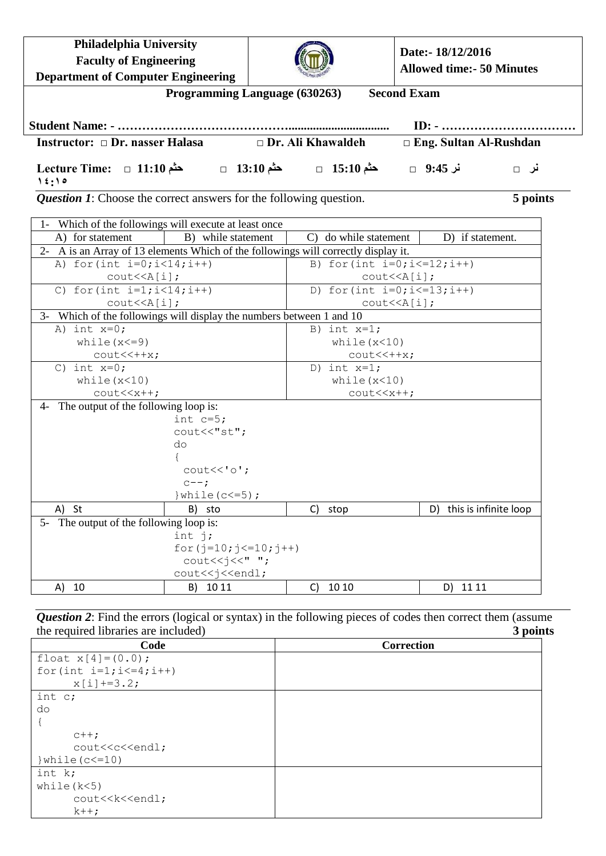| Philadelphia University<br><b>Faculty of Engineering</b>                                                                                                  |                                                                                                              |  |                                                                   | Date:- 18/12/2016<br><b>Allowed time: - 50 Minutes</b>  |          |  |
|-----------------------------------------------------------------------------------------------------------------------------------------------------------|--------------------------------------------------------------------------------------------------------------|--|-------------------------------------------------------------------|---------------------------------------------------------|----------|--|
| <b>Department of Computer Engineering</b><br><b>Second Exam</b><br>Programming Language (630263)                                                          |                                                                                                              |  |                                                                   |                                                         |          |  |
|                                                                                                                                                           |                                                                                                              |  |                                                                   | $ID: - \dots \dots \dots \dots \dots \dots \dots \dots$ |          |  |
| Instructor: □ Dr. nasser Halasa                                                                                                                           |                                                                                                              |  | $\Box$ Dr. Ali Khawaldeh                                          | □ Eng. Sultan Al-Rushdan                                |          |  |
| نر 9:45 □ مثم 15:10 □ مثم 13:10 □ مثم 13:10 □ مثم 11:10 □ D fecture Time: □ 11:10<br>15:10                                                                |                                                                                                              |  |                                                                   |                                                         | نر □     |  |
| <b>Question 1:</b> Choose the correct answers for the following question.                                                                                 |                                                                                                              |  |                                                                   |                                                         | 5 points |  |
| 1- Which of the followings will execute at least once                                                                                                     |                                                                                                              |  |                                                                   |                                                         |          |  |
| A) for statement                                                                                                                                          | B) while statement                                                                                           |  | C) do while statement                                             | D) if statement.                                        |          |  |
| 2- A is an Array of 13 elements Which of the followings will correctly display it.                                                                        |                                                                                                              |  |                                                                   |                                                         |          |  |
| A) for $(int i=0; i<14; i++)$                                                                                                                             |                                                                                                              |  |                                                                   | B) for (int $i=0$ ; $i<=12$ ; $i++)$                    |          |  |
| $\text{cout} \leq \text{A[i]},$                                                                                                                           |                                                                                                              |  |                                                                   | $\text{cout} \leq \text{A[i]},$                         |          |  |
| C) for $(int i=1; i<14; i++)$<br>$\text{cout} \leq \text{A}[i];$                                                                                          |                                                                                                              |  | D) for (int $i=0; i<=13; i++)$<br>$\text{cout} \leq \text{A}[i];$ |                                                         |          |  |
| 3- Which of the followings will display the numbers between 1 and 10                                                                                      |                                                                                                              |  |                                                                   |                                                         |          |  |
| A) int $x=0$ ;                                                                                                                                            |                                                                                                              |  | B) int $x=1$ ;                                                    |                                                         |          |  |
| while $(x < = 9)$                                                                                                                                         |                                                                                                              |  | while $(x<10)$                                                    |                                                         |          |  |
| $\text{cout} \leftarrow \text{++x}$ ;                                                                                                                     |                                                                                                              |  | $\text{cout} \times \text{++x}$ ;                                 |                                                         |          |  |
| C) int $x=0$ ;                                                                                                                                            |                                                                                                              |  | D) int $x=1$ ;                                                    |                                                         |          |  |
| while $(x<10)$                                                                                                                                            |                                                                                                              |  | while $(x<10)$                                                    |                                                         |          |  |
| $\text{cout} \ll \text{x++}$                                                                                                                              |                                                                                                              |  | $\text{cout} \times \text{x++}$                                   |                                                         |          |  |
| 4- The output of the following loop is:                                                                                                                   |                                                                                                              |  |                                                                   |                                                         |          |  |
|                                                                                                                                                           | int $c=5$ ;<br>cout<<"st";                                                                                   |  |                                                                   |                                                         |          |  |
|                                                                                                                                                           | do                                                                                                           |  |                                                                   |                                                         |          |  |
|                                                                                                                                                           |                                                                                                              |  |                                                                   |                                                         |          |  |
|                                                                                                                                                           | $\text{cout} \ll \text{'o'}$ ;                                                                               |  |                                                                   |                                                         |          |  |
|                                                                                                                                                           | $c--;$                                                                                                       |  |                                                                   |                                                         |          |  |
|                                                                                                                                                           | } while $(c<=5)$ ;                                                                                           |  |                                                                   |                                                         |          |  |
| - St<br>A)                                                                                                                                                | B)<br>sto                                                                                                    |  | C)<br>stop                                                        | this is infinite loop<br>D)                             |          |  |
| 5- The output of the following loop is:                                                                                                                   |                                                                                                              |  |                                                                   |                                                         |          |  |
|                                                                                                                                                           | int $j$ ;                                                                                                    |  |                                                                   |                                                         |          |  |
|                                                                                                                                                           | for $(j=10; j<=10; j++)$                                                                                     |  |                                                                   |                                                         |          |  |
|                                                                                                                                                           | $\text{count} \leq \text{idx}$ ";<br>cout< <j<<endl;< td=""><td></td><td></td><td></td><td></td></j<<endl;<> |  |                                                                   |                                                         |          |  |
| 10<br>A)                                                                                                                                                  | B)<br>10 11                                                                                                  |  | 10 10<br>$\mathsf{C}$                                             | 11 11<br>D)                                             |          |  |
|                                                                                                                                                           |                                                                                                              |  |                                                                   |                                                         |          |  |
| <b>Question 2:</b> Find the errors (logical or syntax) in the following pieces of codes then correct them (assume<br>the required libraries are included) |                                                                                                              |  |                                                                   |                                                         | 3 points |  |
| Code                                                                                                                                                      |                                                                                                              |  | Correction                                                        |                                                         |          |  |
| float $x[4] = (0.0)$ ;<br>for (int $i=1; i<=4; i++)$<br>$x[i]+=3.2;$                                                                                      |                                                                                                              |  |                                                                   |                                                         |          |  |
| int c;                                                                                                                                                    |                                                                                                              |  |                                                                   |                                                         |          |  |

do {

int k; while(k<5)

 $c++;$ 

 $k++;$ 

cout<<c<<<endl;

cout<<k<<endl;

}while(c<=10)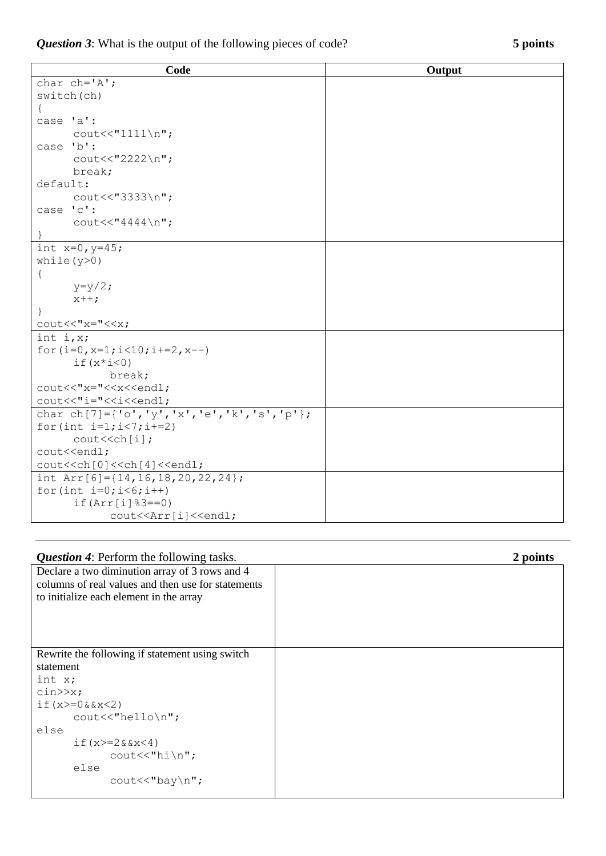*Question 3*: What is the output of the following pieces of code? **5 points**

| Code                                                               | Output |  |  |  |
|--------------------------------------------------------------------|--------|--|--|--|
| char $ch='A$ ';                                                    |        |  |  |  |
| switch(ch)                                                         |        |  |  |  |
| $\{$                                                               |        |  |  |  |
| case 'a':                                                          |        |  |  |  |
| $\text{cout}<<"1111\$                                              |        |  |  |  |
| case 'b':                                                          |        |  |  |  |
| cout<<"2222\n";                                                    |        |  |  |  |
| break;                                                             |        |  |  |  |
| default:                                                           |        |  |  |  |
| cout<<"3333\n";                                                    |        |  |  |  |
| case 'c':                                                          |        |  |  |  |
| $\text{count}<< \text{``}4444\$ n";                                |        |  |  |  |
|                                                                    |        |  |  |  |
| int $x=0, y=45;$                                                   |        |  |  |  |
| while $(y>0)$                                                      |        |  |  |  |
| $\{$                                                               |        |  |  |  |
| $y=y/2;$                                                           |        |  |  |  |
| $x++;$                                                             |        |  |  |  |
|                                                                    |        |  |  |  |
| $\text{count}<<''x=''<$                                            |        |  |  |  |
| int $i, x;$                                                        |        |  |  |  |
| for $(i=0, x=1; i<10; i+=2, x--)$                                  |        |  |  |  |
| $if(x * i < 0)$                                                    |        |  |  |  |
| break;                                                             |        |  |  |  |
| cout<<"x="< <x<<endl;< td=""><td></td></x<<endl;<>                 |        |  |  |  |
| cout<<"i="< <i<<endl;< td=""><td></td></i<<endl;<>                 |        |  |  |  |
| char ch[7]={'o','y','x','e','k','s','p'};                          |        |  |  |  |
| for (int $i=1; i<7; i+=2$ )                                        |        |  |  |  |
| cout< <ch[i];< td=""><td></td></ch[i];<>                           |        |  |  |  |
| cout< <endl;< td=""><td></td></endl;<>                             |        |  |  |  |
| cout< <ch[0]<<ch[4]<<endl;< td=""><td></td></ch[0]<<ch[4]<<endl;<> |        |  |  |  |
| int Arr[6]= $\{14, 16, 18, 20, 22, 24\}$ ;                         |        |  |  |  |
| for $(int i=0; i<6; i++)$                                          |        |  |  |  |
| $if(Arr[i]$ $3 == 0)$                                              |        |  |  |  |
| cout< <arr[i]<<endl;< td=""><td></td></arr[i]<<endl;<>             |        |  |  |  |

| <b>Question 4:</b> Perform the following tasks.    | 2 points |
|----------------------------------------------------|----------|
| Declare a two diminution array of 3 rows and 4     |          |
| columns of real values and then use for statements |          |
| to initialize each element in the array            |          |
|                                                    |          |
|                                                    |          |
|                                                    |          |
|                                                    |          |
| Rewrite the following if statement using switch    |          |
| statement                                          |          |
| int x;                                             |          |
| $\text{cin} \gg \text{x}$ ;                        |          |
| if $(x)=0$ & $x<2$ )                               |          |
| $\text{cout} \ll \text{"hello} \cdot \text{"};$    |          |
| else                                               |          |
| if $(x)=2&2x<4$ )                                  |          |
| $\text{cout} \ll \text{"hi} \n\rightharpoonup$ r   |          |
| else                                               |          |
| cout<<"bay\n";                                     |          |
|                                                    |          |